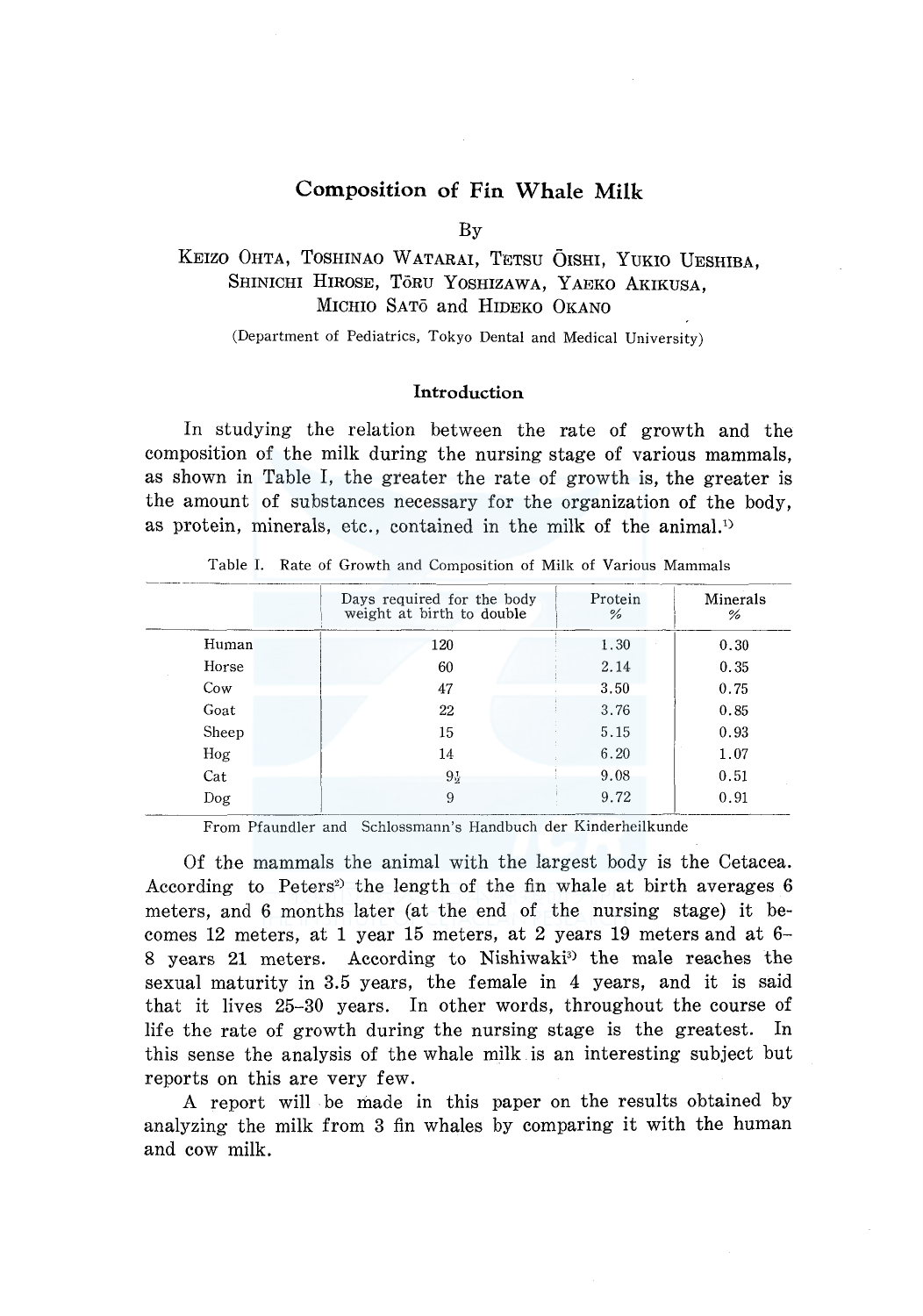### **Composition of Fin Whale Milk**

By

### KEIZO OHTA, TOSHINAO WATARAI, TETSU OISHI, YUKIO UESHIBA. SHINICHI HIROSE, TORU YOSHIZAWA, YAEKO AKIKUSA, MICHIO SATO and HIDEKO OKANO

(Department of Pediatrics, Tokyo Dental and Medical University)

### **Introduction**

In studying the relation between the rate of growth and the composition of the milk during the nursing stage of various mammals, as shown in Table I, the greater the rate of growth is, the greater is the amount of substances necessary for the organization of the body, as protein, minerals, etc., contained in the milk of the animal.<sup>1)</sup>

|       | Days required for the body<br>weight at birth to double | Protein<br>% | Minerals<br>% |
|-------|---------------------------------------------------------|--------------|---------------|
| Human | 120                                                     | 1.30         | 0.30          |
| Horse | 60                                                      | 2.14         | 0.35          |
| Cow   | 47                                                      | 3.50         | 0.75          |
| Goat  | 22                                                      | 3.76         | 0.85          |
| Sheep | 15                                                      | 5.15         | 0.93          |
| Hog   | 14                                                      | 6.20         | 1.07          |
| Cat   | $9\frac{1}{2}$                                          | 9.08         | 0.51          |
| Dog   | 9                                                       | 9.72         | 0.91          |
|       |                                                         |              |               |

Table I. Rate of Growth and Composition of Milk of Various Mammals

From Pfaundler and Schlossmann's Handbuch der Kinderheilkunde

Of the mammals the animal with the largest body is the Cetacea. According to Peters<sup>2</sup> the length of the fin whale at birth averages 6 meters, and 6 months later (at the end of the nursing stage) it becomes 12 meters, at 1 year 15 meters, at 2 years 19 meters and at 6- 8 years 21 meters. According to Nishiwaki<sup>3</sup> the male reaches the sexual maturity in 3.5 years, the female in 4 years, and it is said that it lives 25-30 years. In other words, throughout the course of life the rate of growth during the nursing stage is the greatest. In this sense the analysis of the whale milk is an interesting subject but reports on this are very few.

A report will be made in this paper on the results obtained by analyzing the milk from 3 fin whales by comparing it with the human and cow milk.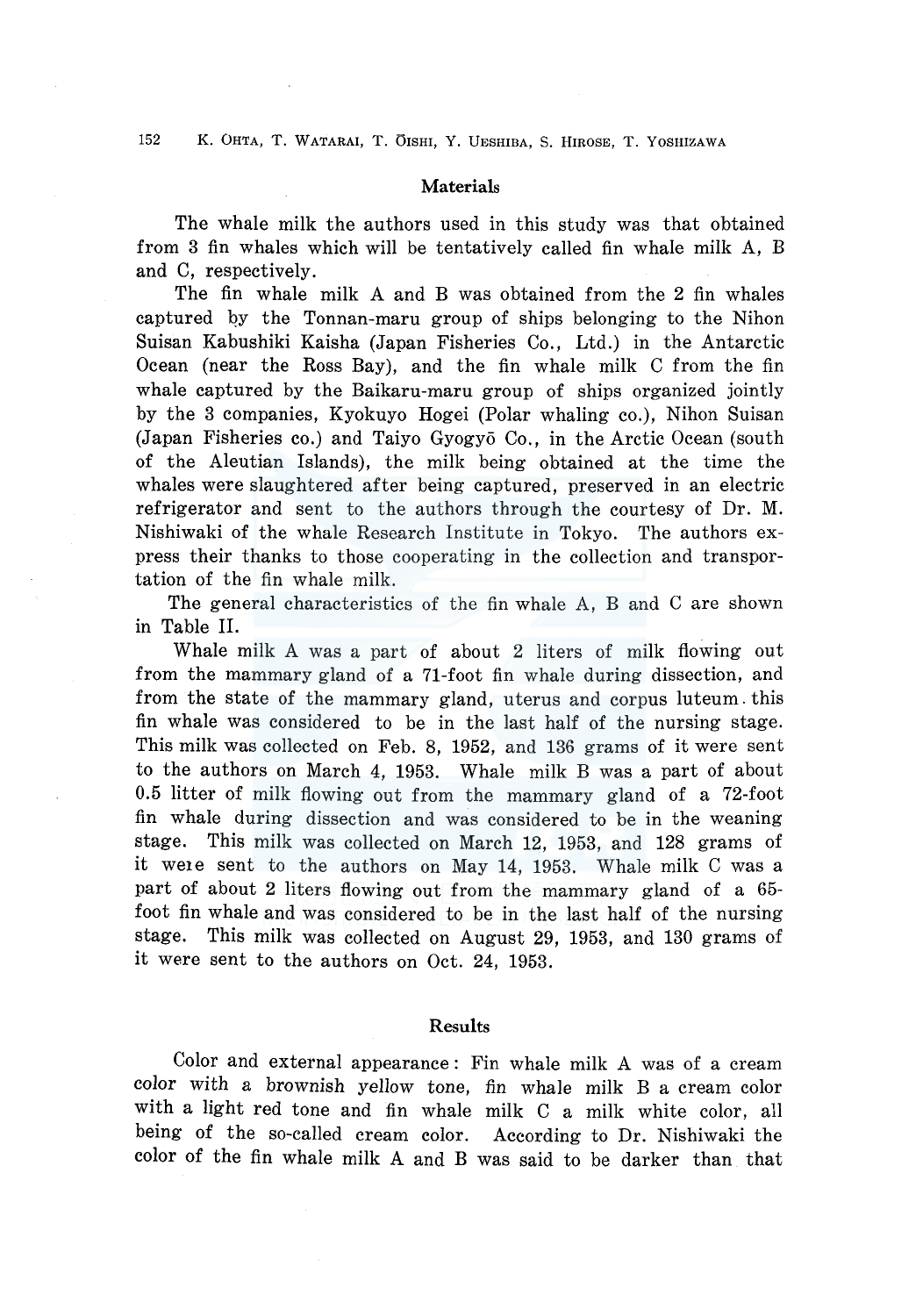### **Materials**

The whale milk the authors used in this study was that obtained from 3 fin whales which will be tentatively called fin whale milk A, B and C, respectively.

The fin whale milk A and B was obtained from the 2 fin whales captured qy the Tonnan-maru group of ships belonging to the Nihon Suisan Kabushiki Kaisha (Japan Fisheries Co., Ltd.) in the Antarctic Ocean (near the Ross Bay), and the fin whale milk C from the fin whale captured by the Baikaru-maru group of ships organized jointly by the 3 companies, Kyokuyo Hogei (Polar whaling co.), Nihon Suisan (Japan Fisheries co.) and Taiyo Gyogy6 Co., in the Arctic Ocean (south of the Aleutian Islands), the milk being obtained at the time the whales were slaughtered after being captured, preserved in an electric refrigerator and sent to the authors through the courtesy of Dr. M. Nishiwaki of the whale Research Institute in Tokyo. The authors express their thanks to those cooperating in the collection and transportation of the fin whale milk.

The general characteristics of the fin whale A, B and C are shown in Table II.

Whale milk A was a part of about 2 liters of milk flowing out from the mammary gland of a 71-foot fin whale during dissection, and from the state of the mammary gland, uterus and corpus luteum. this fin whale was considered to be in the last half of the nursing stage. This milk was collected on Feb. 8, 1952, and 136 grams of it were sent to the authors on March 4, 1953. Whale milk B was a part of about 0.5 litter of milk flowing out from the mammary gland of a 72-foot fin whale during dissection and was considered to be in the weaning stage. This milk was collected on March 12, 1953, and 128 grams of it weie sent to the authors on May 14, 1953. Whale milk C was a part of about 2 liters flowing out from the mammary gland of a 65 foot fin whale and was considered to be in the last half of the nursing stage. This milk was collected on August 29, 1953, and 130 grams of it were sent to the authors on Oct. 24, 1953.

### Results

Color and external appearance: Fin whale milk A was of a cream color with a brownish yellow tone, fin whale milk B a cream color with a light red tone and fin whale milk C a milk white color, all being of the so-called cream color. According to Dr. Nishiwaki the color of the fin whale milk A and B was said to be darker than that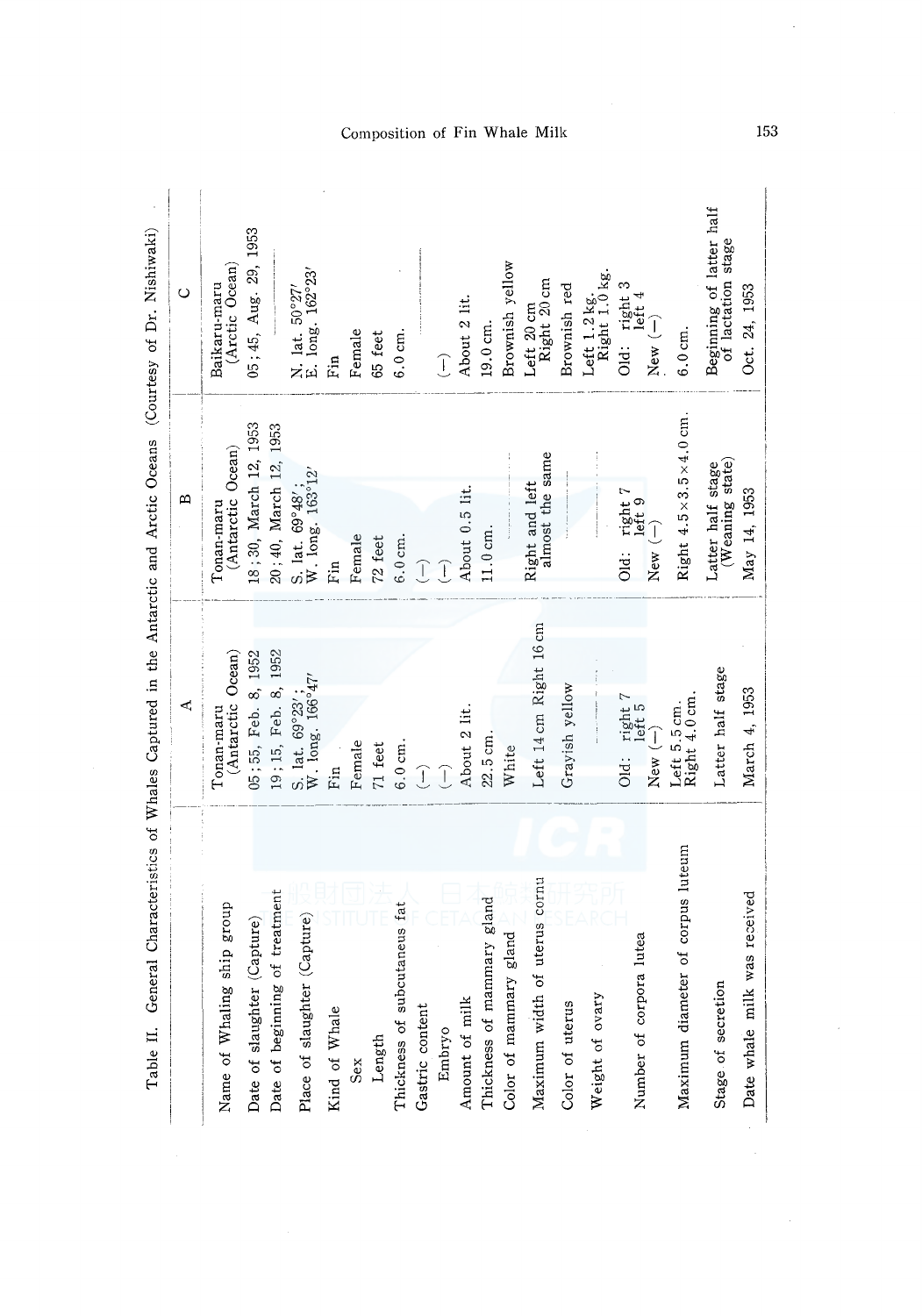|                                   | ረ                                        | ⋍                                                      | $\circ$                                        |
|-----------------------------------|------------------------------------------|--------------------------------------------------------|------------------------------------------------|
| ship group<br>Name of Whaling     | Tonan-maru<br>(Antarctic Ocean)          | Tonan-maru<br>(Antarctic Ocean)                        | (Arctic Ocean)<br>Baikaru-maru                 |
| (Capture)<br>Date of slaughter    | 05; 55, Feb. 8, 1952                     | 18;30, March 12, 1953                                  | 05; 45, Aug. 29, 1953                          |
| Date of beginning of treatment    | 19; 15, Feb. 8, 1952                     | 20;40, March 12, 1953                                  |                                                |
| Place of slaughter (Capture)      | S. 1at. $69°23'$ ;<br>W. long. $166°47'$ | S. lat. $69^{\circ}48'$ ;<br>W. long. $163^{\circ}12'$ | N. lat. $50°27'$<br>E. long. $162°23'$         |
| Kind of Whale                     | Ein                                      | nin<br>Ei                                              | Fin<br>Fin                                     |
| Sex                               | Female                                   | Female                                                 | Female                                         |
| Length                            | 71 feet                                  | 72 feet                                                | 65 feet                                        |
| Thickness of subcutaneus fat      | $6.0 \text{ cm}.$                        | $6.0\,\mathrm{cm}.$                                    | $6.0 \text{ cm}.$                              |
| Gastric content                   | $\widehat{\mathcal{L}}$                  | $\widehat{\mathbb{L}}$                                 |                                                |
| Embryo                            | Ĵ                                        | $\sqrt{1}$                                             | $\overline{\mathbb{C}}$                        |
| Amount of milk                    | About 2 lit.                             | About 0.5 lit.                                         | About 2 lit.                                   |
| Thickness of mammary gland        | 22.5 cm.                                 | 11.0cm.                                                | 19.0 cm.                                       |
| Color of mammary gland            | White                                    |                                                        | Brownish yellow                                |
| of uterus cornu<br>Maximum width  | Left 14 cm Right 16 cm                   | Right and left<br>almost the same                      | Left 20 cm<br>Right 20 cm                      |
| Color of uterus                   | Grayish yellow                           |                                                        | Brownish red                                   |
| Weight of ovary                   |                                          |                                                        | Left 1.2 kg.<br>Right 1.0 kg.                  |
| Number of corpora lutea           | Old: right 7<br>left 5                   | Old: $right 7$<br>$let 9$<br>$let 9$<br>$New (-)$      | Old: right 3<br>left 4                         |
|                                   | New $(-)$                                |                                                        | New $(-)$                                      |
| Maximum diameter of corpus luteum | Left 5.5 cm.<br>Right 4.0 cm.            | Right $4.5 \times 3.5 \times 4.0$ cm.                  | $6.0$ cm.                                      |
| Stage of secretion                | Latter half stage                        | Latter half stage<br>(Weaning state)                   | Beginning of latter half<br>of lactation stage |
| was received<br>Date whale milk   | March 4, 1953                            | May 14, 1953                                           | Oct. 24, 1953                                  |

# Composition of Fin Whale Milk

153

 $\mathcal{A}$ 

 $\bar{z}$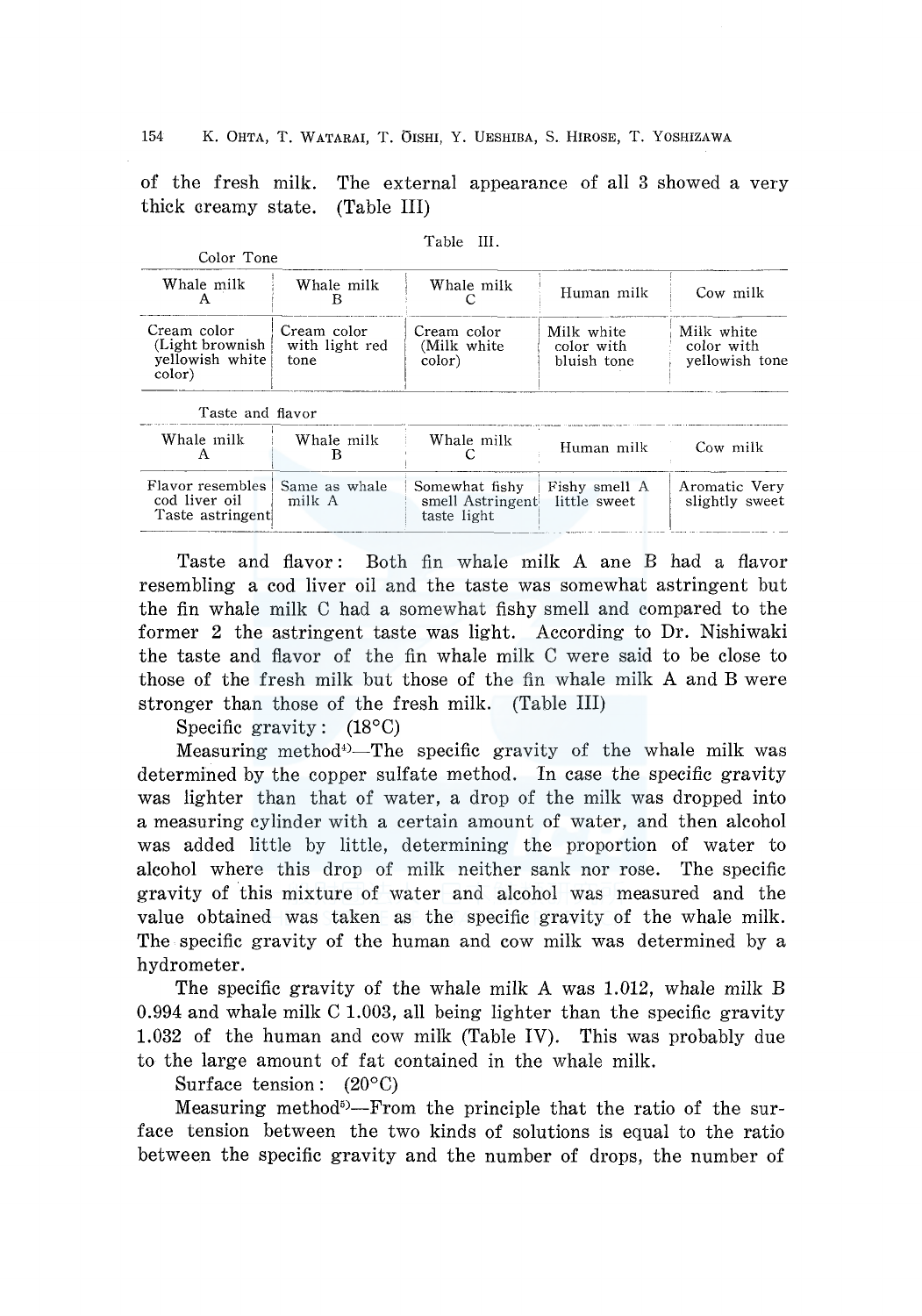of the fresh milk. thick areamy state. The external appearance of all 3 showed a very (Table III)

Table III.

| <b>COLOL LOIR</b>                                            |                                       |                                                   |                                         |                                            |
|--------------------------------------------------------------|---------------------------------------|---------------------------------------------------|-----------------------------------------|--------------------------------------------|
| Whale milk                                                   | Whale milk<br>в                       | Whale milk                                        | Human milk                              | Cow milk                                   |
| Cream color<br>(Light brownish)<br>yellowish white<br>color) | Cream color<br>with light red<br>tone | Cream color<br>(Milk white<br>color)              | Milk white<br>color with<br>bluish tone | Milk white<br>color with<br>yellowish tone |
| Taste and flavor                                             |                                       |                                                   |                                         |                                            |
| Whale milk<br>A                                              | Whale milk                            | Whale milk                                        | Human milk                              | Cow milk                                   |
| Flavor resembles<br>cod liver oil<br>Taste astringent        | Same as whale<br>milk A               | Somewhat fishy<br>smell Astringent<br>taste light | Fishy smell A<br>little sweet           | Aromatic Very<br>slightly sweet            |

Taste and fiavor: Both fin whale milk A ane B had a fiavor resembling a cod liver oil and the taste was somewhat astringent but the fin whale milk C had a somewhat fishy smell and compared to the former 2 the astringent taste was light. According to Dr. Nishiwaki the taste and fiavor of the fin whale milk C were said to be close to those of the fresh milk but those of the fin whale milk A and B were stronger than those of the fresh milk. (Table III)

Specific gravity: (18°C)

Measuring method<sup>\*</sup>)-The specific gravity of the whale milk was determined by the copper sulfate method. In case the specific gravity was lighter than that of water, a drop of the milk was dropped into a measuring cylinder with a certain amount of water, and then alcohol was added little by little, determining the proportion of water to alcohol where this drop of milk neither sank nor rose. The specific gravity of this mixture of water and alcohol was measured and the value obtained was taken as the specific gravity of the whale milk. The specific gravity of the human and cow milk was determined by a hydrometer.

The specific gravity of the whale milk A was 1.012, whale milk B 0.994 and whale milk C 1.003, all being lighter than the specific gravity 1.032 of the human and cow milk (Table IV). This was probably due to the large amount of fat contained in the whale milk.

Surface tension:  $(20^{\circ}C)$ 

Measuring method<sup>5</sup>)---From the principle that the ratio of the surface tension between the two kinds of solutions is equal to the ratio between the specific gravity and the number of drops, the number of

Color Tone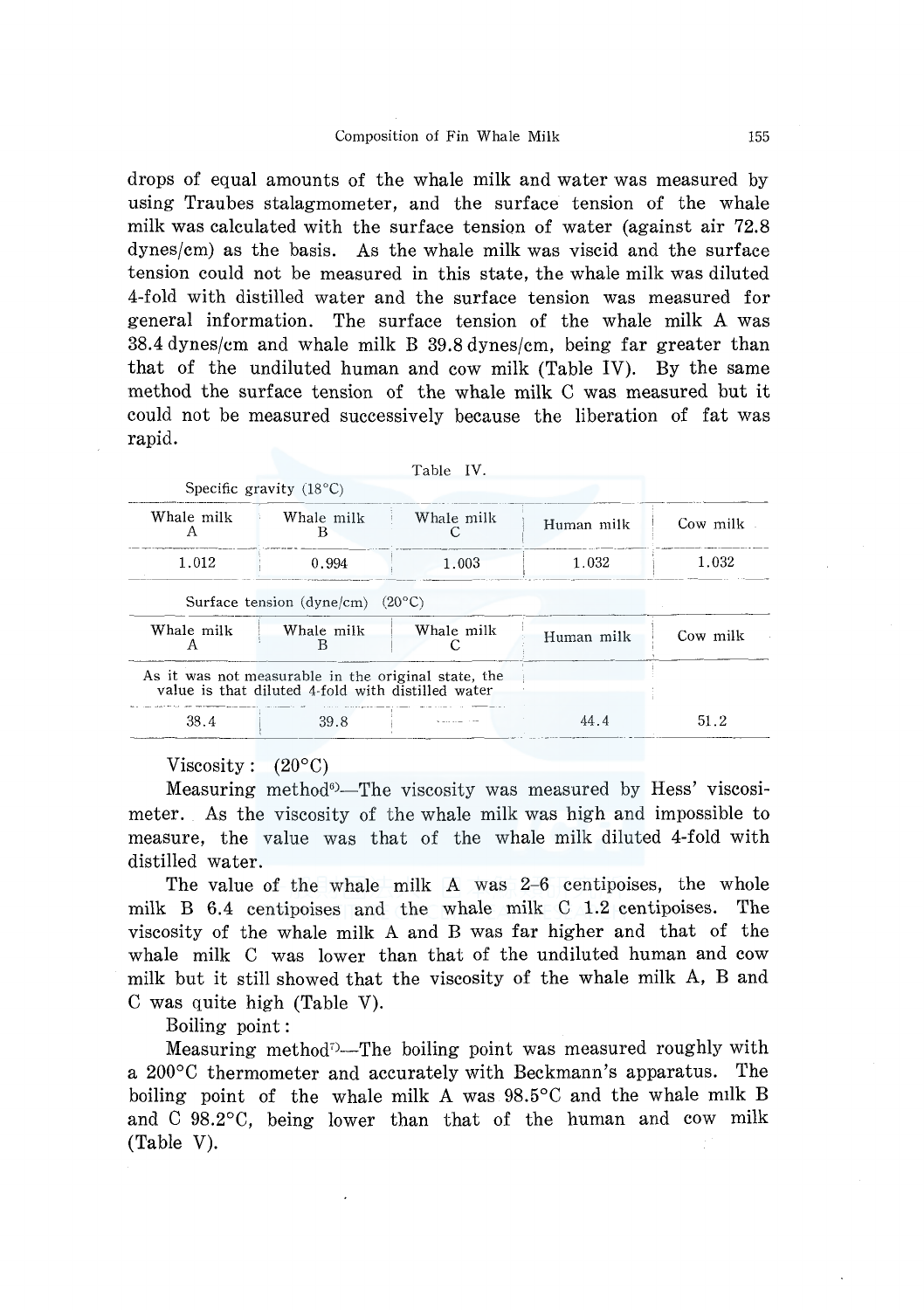drops of equal amounts of the whale milk and water was measured by using Traubes stalagmometer, and the surface tension of the whale milk was calculated with the surface tension of water (against air 72.8 dynes/cm) as the basis. As the whale milk was viscid and the surface tension could not be measured in this state, the whale milk was diluted 4-fold with distilled water and the surface tension was measured for general information. The surface tension of the whale milk A was 38.4 dynes/cm and whale milk B 39.8 dynes/cm, being far greater than that of the undiluted human and cow milk (Table IV). By the same method the surface tension of the whale milk C was measured but it could not be measured successively because the liberation of fat was rapid.

|                 |                                                                                                          | Table IV.  |            |          |
|-----------------|----------------------------------------------------------------------------------------------------------|------------|------------|----------|
|                 | Specific gravity $(18^{\circ}C)$                                                                         |            |            |          |
| Whale milk      | Whale milk<br>в                                                                                          | Whale milk | Human milk | Cow milk |
| 1.012           | 0.994                                                                                                    | 1.003      | 1.032      | 1.032    |
|                 | Surface tension (dyne/cm) $(20^{\circ}C)$                                                                |            |            |          |
| Whale milk<br>A | Whale milk<br>В                                                                                          | Whale milk | Human milk | Cow milk |
|                 | As it was not measurable in the original state, the<br>value is that diluted 4-fold with distilled water |            |            |          |
| 38.4            | 39.8                                                                                                     |            | 44.4       | 51.2     |

### Viscosity :  $(20^{\circ}C)$

Measuring method<sup>6</sup>-The viscosity was measured by Hess' viscosimeter. As the viscosity of the whale milk was high and impossible to measure, the value was that of the whale milk diluted 4-fold with distilled water.

The value of the whale milk A was 2-6 centipoises, the whole milk B 6.4 centipoises and the whale milk C 1.2 centipoises. The viscosity of the whale milk A and B was far higher and that of the whale milk C was lower than that of the undiluted human and cow milk but it still showed that the viscosity of the whale milk A, B and C was quite high (Table V).

Boiling point:

Measuring method<sup> $\sim$ </sup>-The boiling point was measured roughly with a 200°C thermometer and accurately with Beckmann's apparatus. The boiling point of the whale milk A was 98.5°C and the whale milk B and C 98.2°C, being lower than that of the human and cow milk (Table V).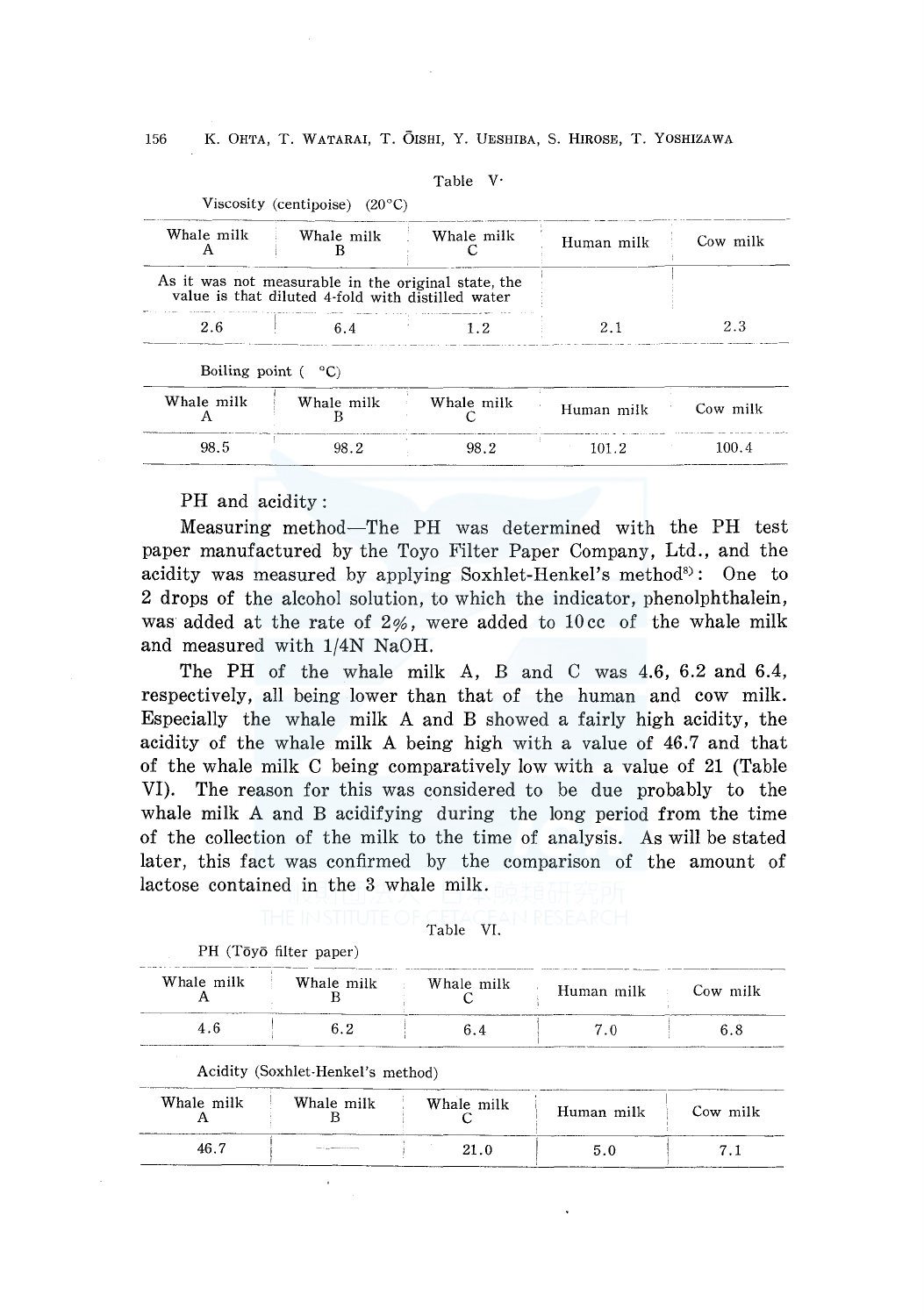| Fable |  |
|-------|--|
|-------|--|

| Whale milk | Whale milk                                                                                            | Whale milk | Human milk | Cow milk |
|------------|-------------------------------------------------------------------------------------------------------|------------|------------|----------|
|            |                                                                                                       |            |            |          |
|            | As it was not measurable in the original state, the value is that diluted 4-fold with distilled water |            |            |          |

Whale milk c

98.2

Human milk Cow milk

101.2 100.4

Viscosity (centipoise) (20°C)

Whale milk B 98.2

# PH and acidity :

Whale milk A 98.5

Measuring method-The PH was determined with the PH test paper manufactured by the Toyo Filter Paper Company, Ltd., and the acidity was measured by applying Soxhlet-Henkel's method<sup>8)</sup>: One to 2 drops of the alcohol solution, to which the indicator, phenolphthalein, was added at the rate of  $2\%$ , were added to 10 cc of the whale milk and measured with 1/4N NaOH.

The PH of the whale milk A, B and C was 4.6, 6.2 and 6.4, respectively, all being lower than that of the human and cow milk. Especially the whale milk A and B showed a fairly high acidity, the acidity of the whale milk *A* being high with a value of 46.7 and that of the whale milk C being comparatively low with a value of 21 (Table VI). The reason for this was considered to be due probably to the whale milk *A* and B acidifying during the long period from the time of the collection of the milk to the time of analysis. As will be stated later, this fact was confirmed by the comparison of the amount of lactose contained in the 3 whale milk.

## Table VI.

| Whale milk | Whale milk                        | Whale milk | Human milk | Cow milk |
|------------|-----------------------------------|------------|------------|----------|
| 4.6        | 6.2                               | 6.4        | 7.0        | 6.8      |
|            |                                   |            |            |          |
|            | Acidity (Soxhlet-Henkel's method) |            |            |          |
| Whale milk | Whale milk                        | Whale milk | Human milk | Cow milk |

PH (Tōyō filter paper)

 $\overline{\phantom{a}}$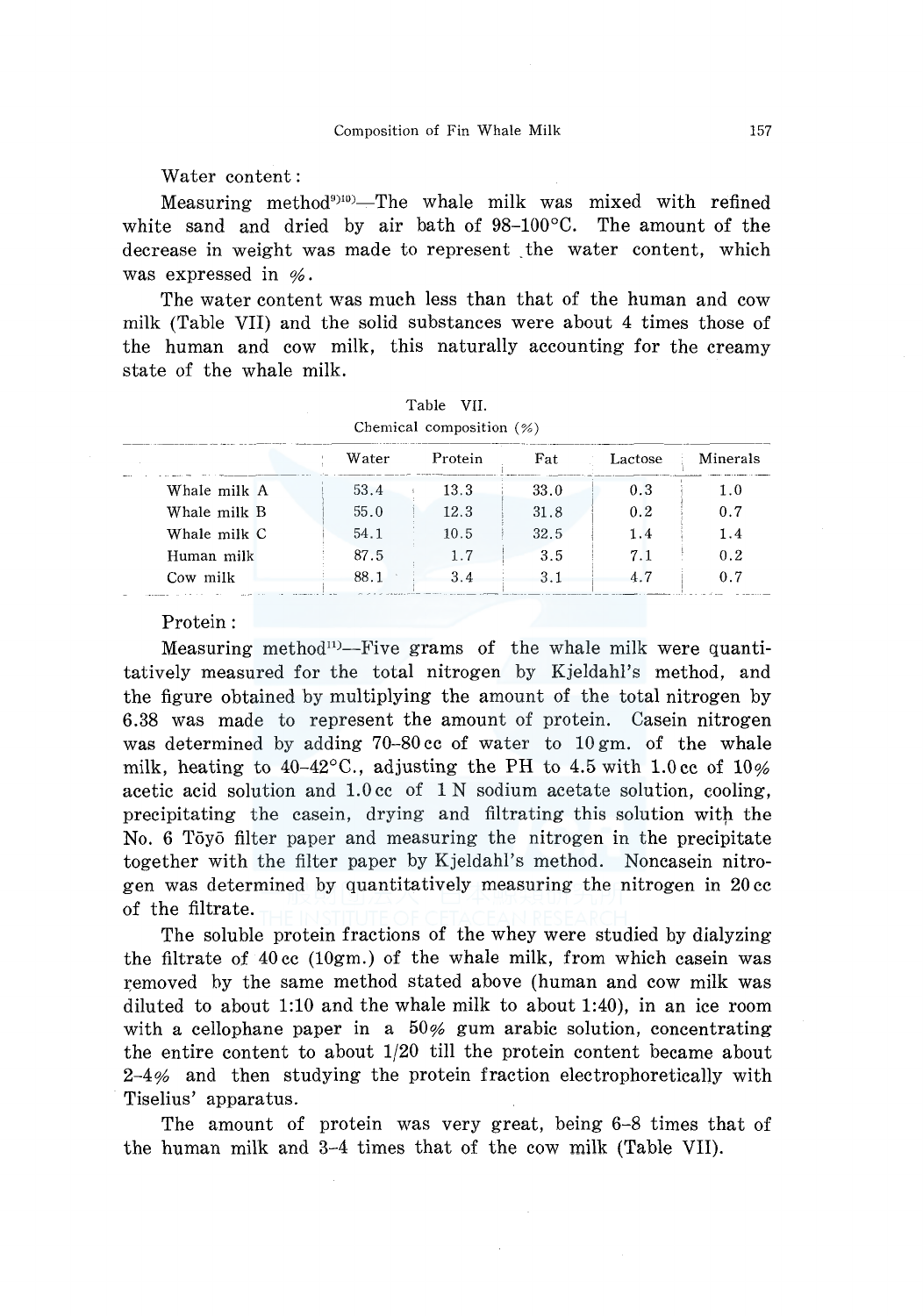Water content:

Measuring method<sup>9910</sup>–The whale milk was mixed with refined white sand and dried by air bath of 98-100°C. The amount of the decrease in weight was made to represent the water content, which was expressed in  $\%$ .

The water content was much less than that of the human and cow milk (Table VII) and the solid substances were about 4 times those of the human and cow milk, this naturally accounting for the creamy state of the whale milk.

|              |       | Chemical composition $(\%)$ |      |         |          |
|--------------|-------|-----------------------------|------|---------|----------|
|              | Water | Protein                     | Fat  | Lactose | Minerals |
| Whale milk A | 53.4  | 13.3                        | 33.0 | 0.3     | 1.0      |
| Whale milk B | 55.0  | 12.3                        | 31.8 | 0.2     | 0.7      |
| Whale milk C | 54.1  | 10.5                        | 32.5 | 1.4     | 1.4      |
| Human milk   | 87.5  |                             | 3.5  |         | 0.2      |
| Cow milk     | 88.1  | 3.4                         |      | 47      | 0.7      |

|                             | Table VII. |  |
|-----------------------------|------------|--|
| Chemical composition $(\%)$ |            |  |

#### Protein:

Measuring method<sup>11</sup>-Five grams of the whale milk were quantitatively measured for the total nitrogen by Kjeldahl's method, and the figure obtained by multiplying the amount of the total nitrogen by 6.38 was made to represent the amount of protein. Casein nitrogen was determined by adding 70-80 cc of water to 10 gm. of the whale milk, heating to  $40-42^{\circ}$ C., adjusting the PH to 4.5 with 1.0 cc of 10% acetic acid solution and l.Occ of 1 N sodium acetate solution, cooling, precipitating the casein, drying and filtrating this solution with the No. 6 Toyo filter paper and measuring the nitrogen in the precipitate together with the filter paper by Kjeldahl's method. Noncasein nitrogen was determined by quantitatively measuring the nitrogen in 20 cc of the filtrate.

The soluble protein fractions of the whey were studied by dialyzing the filtrate of  $40 \text{ cc } (10 \text{gm})$  of the whale milk, from which case in was removed by the same method stated above (human and cow milk was diluted to about 1:10 and the whale milk to about 1:40), in an ice room with a cellophane paper in a  $50\%$  gum arabic solution, concentrating the entire content to about 1/20 till the protein content became about 2-4% and then studying the protein fraction electrophoretically with Tiselius' apparatus.

The amount of protein was very great, being 6-8 times that of the human milk and 3-4 times that of the cow milk (Table VII).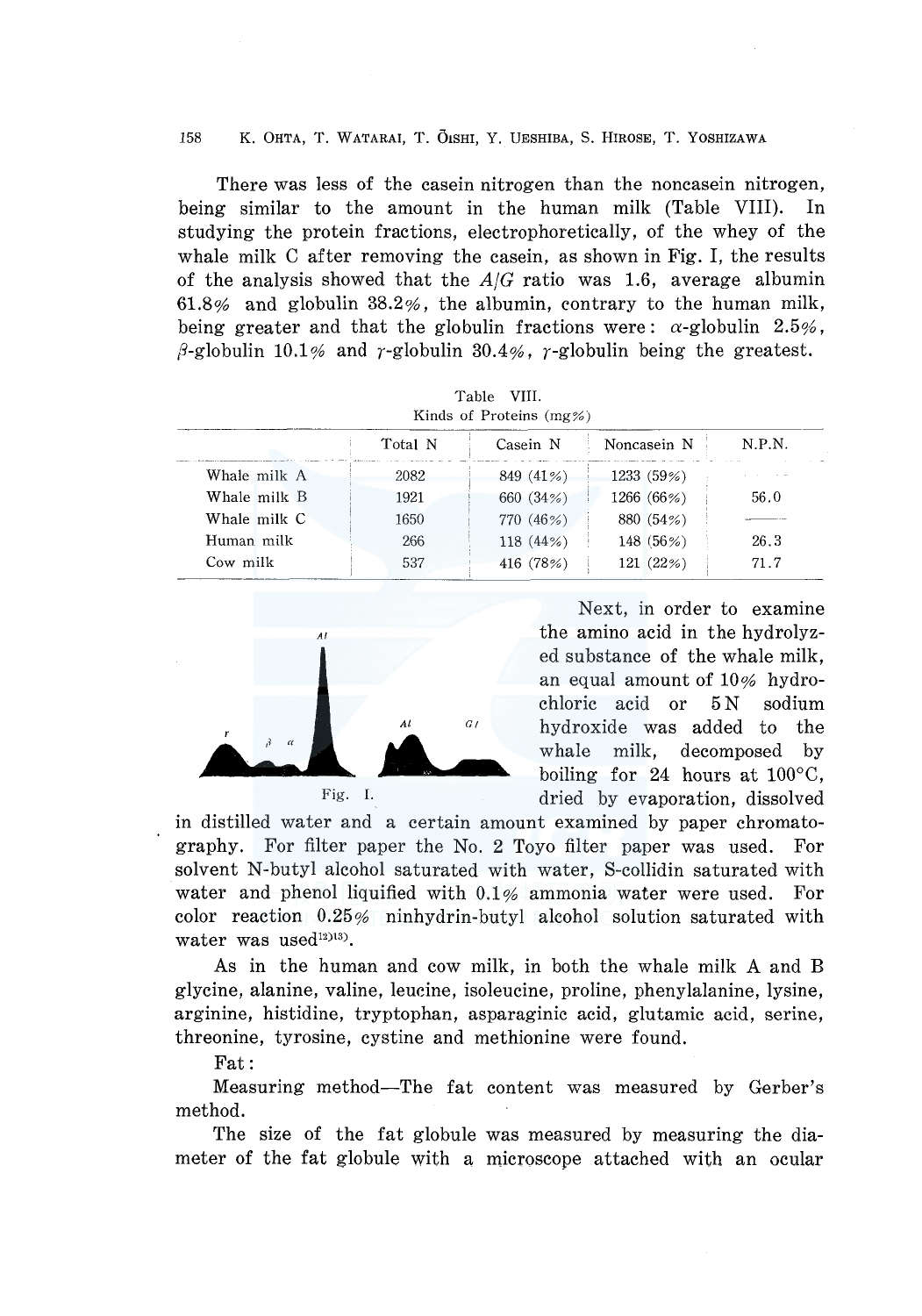There was less of the casein nitrogen than the noncasein nitrogen, being similar to the amount in the human milk (Table VIII). In studying the protein fractions, electrophoretically, of the whey of the whale milk C after removing the casein, as shown in Fig. I, the results of the analysis showed that the *A/G* ratio was 1.6, average albumin 61.8% and globulin 38.2%, the albumin, contrary to the human milk, being greater and that the globulin fractions were:  $\alpha$ -globulin 2.5%,  $\beta$ -globulin 10.1% and  $\gamma$ -globulin 30.4%,  $\gamma$ -globulin being the greatest.

|              |         | тарне унг.<br>Kinds of Proteins $(mg\%)$ |             |        |
|--------------|---------|------------------------------------------|-------------|--------|
|              | Total N | Casein N                                 | Noncasein N | N.P.N. |
| Whale milk A | 2082    | 849 (41%)                                | 1233 (59%)  |        |
| Whale milk B | 1921    | 660 (34%)                                | 1266 (66%)  | 56.0   |
| Whale milk C | 1650    | 770 (46%)                                | 880 (54%)   |        |
| Human milk   | 266     | 118 (44%)                                | 148 (56%)   | 26.3   |
| Cow milk     | 537     | 416 (78%)                                | 121 (22%)   | 71.7   |

 $T_{\text{L1}}$ ,  $T_{\text{H1}}$ 



Next, in order to examine the amino acid in the hydrolyzed substance of the whale milk, an equal amount of 10% hydrochloric acid or 5 N sodium hydroxide was added to the whale milk, decomposed by boiling for 24 hours at 100°C, Fig. I. dried by evaporation, dissolved

in distilled water and a certain amount examined by paper chromatography. For filter paper the No. 2 Toyo filter paper was used. For solvent N-butyl alcohol saturated with water, S-collidin saturated with water and phenol liquified with  $0.1\%$  ammonia water were used. For color reaction 0.25% ninhydrin-butyl alcohol solution saturated with water was used<sup>12)13</sup>).

As in the human and cow milk, in both the whale milk A and B glycine, alanine, valine, leucine, isoleucine, proline, phenylalanine, lysine, arginine, histidine, tryptophan, asparaginic acid, glutamic acid, serine, threonine, tyrosine, cystine and methionine were found.

Fat:

Measuring method-The fat content was measured by Gerber's method.

The size of the fat globule was measured by measuring the diameter of the fat globule with a microscope attached with an ocular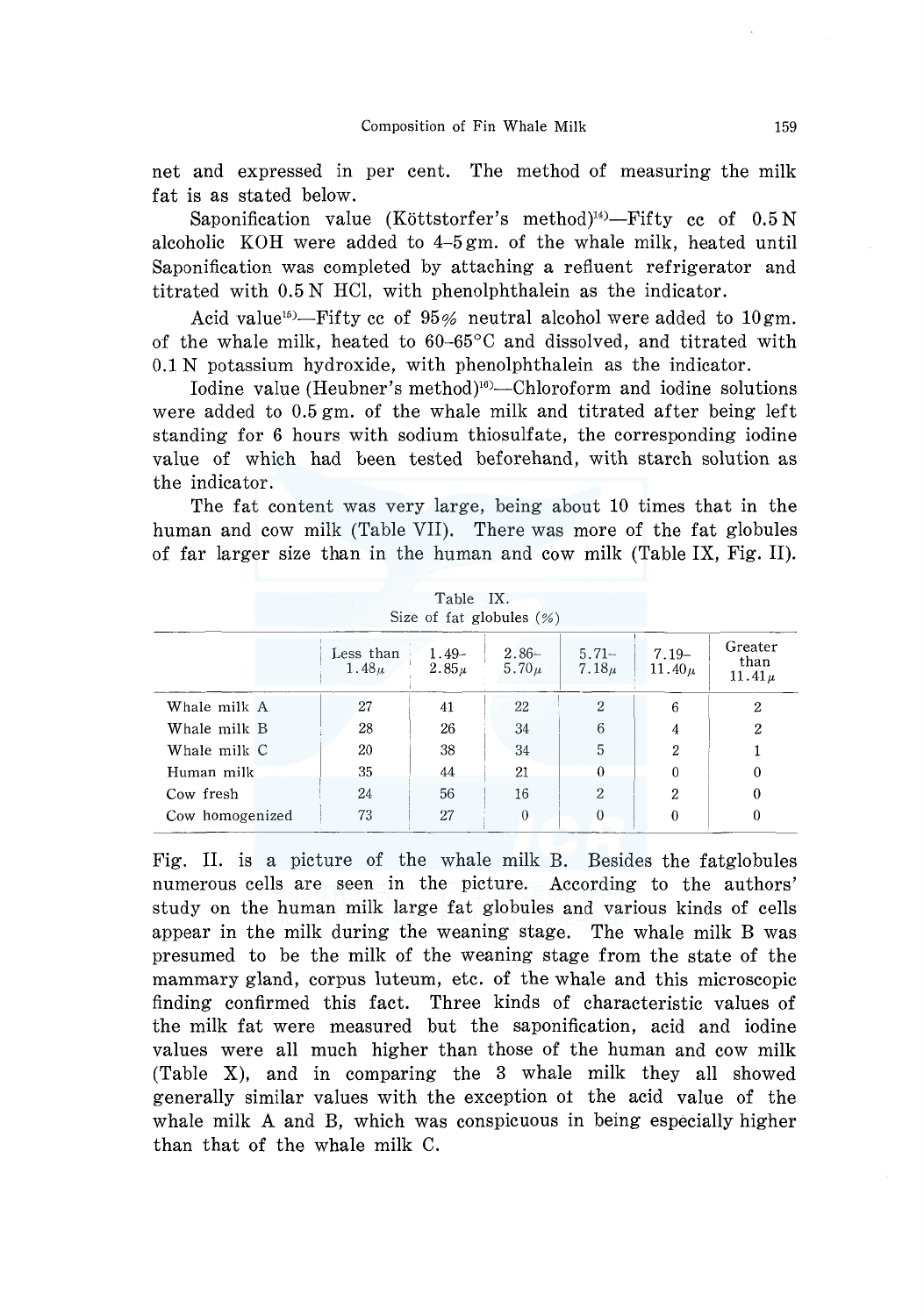net and expressed in per cent. The method of measuring the milk fat is as stated below.

Saponification value (Köttstorfer's method)<sup>14)</sup>-Fifty cc of  $0.5 N$ alcoholic KOH were added to 4-5 gm. of the whale milk, heated until Saponification was completed by attaching a refluent refrigerator and titrated with 0.5 N HCl, with phenolphthalein as the indicator.

Acid value<sup>15</sup>)-Fifty cc of  $95%$  neutral alcohol were added to 10gm. of the whale milk, heated to 60-65°C and dissolved, and titrated with 0.1 N potassium hydroxide, with phenolphthalein as the indicator.

Iodine value (Heubner's method)<sup>16</sup>)-Chloroform and iodine solutions were added to 0.5 gm. of the whale milk and titrated after being left standing for 6 hours with sodium thiosulfate, the corresponding iodine value of which had been tested beforehand, with starch solution as the indicator.

The fat content was very large, being about 10 times that in the human and cow milk (Table VII). There was more of the fat globules of far larger size than in the human and cow milk (Table IX, Fig. II).

|                 |                                | Table IX.            | Size of fat globules $(\% )$ |                      |                         |                               |
|-----------------|--------------------------------|----------------------|------------------------------|----------------------|-------------------------|-------------------------------|
|                 | Less than<br>1.48 <sub>u</sub> | $1.49-$<br>$2.85\mu$ | $2.86-$<br>5.70 $\mu$        | $5.71-$<br>$7.18\mu$ | $7.19 -$<br>11.40 $\mu$ | Greater<br>than<br>$11.41\mu$ |
| Whale milk A    | 27                             | 41                   | 22                           | 2                    | 6                       | 2                             |
| Whale milk B    | 28                             | 26                   | 34                           | 6                    | 4                       | 2                             |
| Whale milk C    | 20                             | 38                   | 34                           | 5                    | $\overline{2}$          |                               |
| Human milk      | 35                             | 44                   | 21                           | 0                    | 0                       | 0                             |
| Cow fresh       | 24                             | 56                   | 16                           | 2                    | $\overline{2}$          | 0                             |
| Cow homogenized | 73                             | 27                   | $\theta$                     | $\Omega$             | 0                       | 0                             |

Fig. II. is a picture of the whale milk B. Besides the fatglobules numerous cells are seen in the picture. According to the authors' study on the human milk large fat globules and various kinds of cells appear in the milk during the weaning stage. The whale milk B was presumed to be the milk of the weaning stage from the state of the mammary gland, corpus luteum, etc. of the whale and this microscopic finding confirmed this fact. Three kinds of characteristic values of the milk fat were measured but the saponification, acid and iodine values were all much higher than those of the human and cow milk (Table X), and in comparing the 3 whale milk they all showed generally similar values with the exception oi the acid value of the whale milk A and B, which was conspicuous in being especially higher than that of the whale milk C.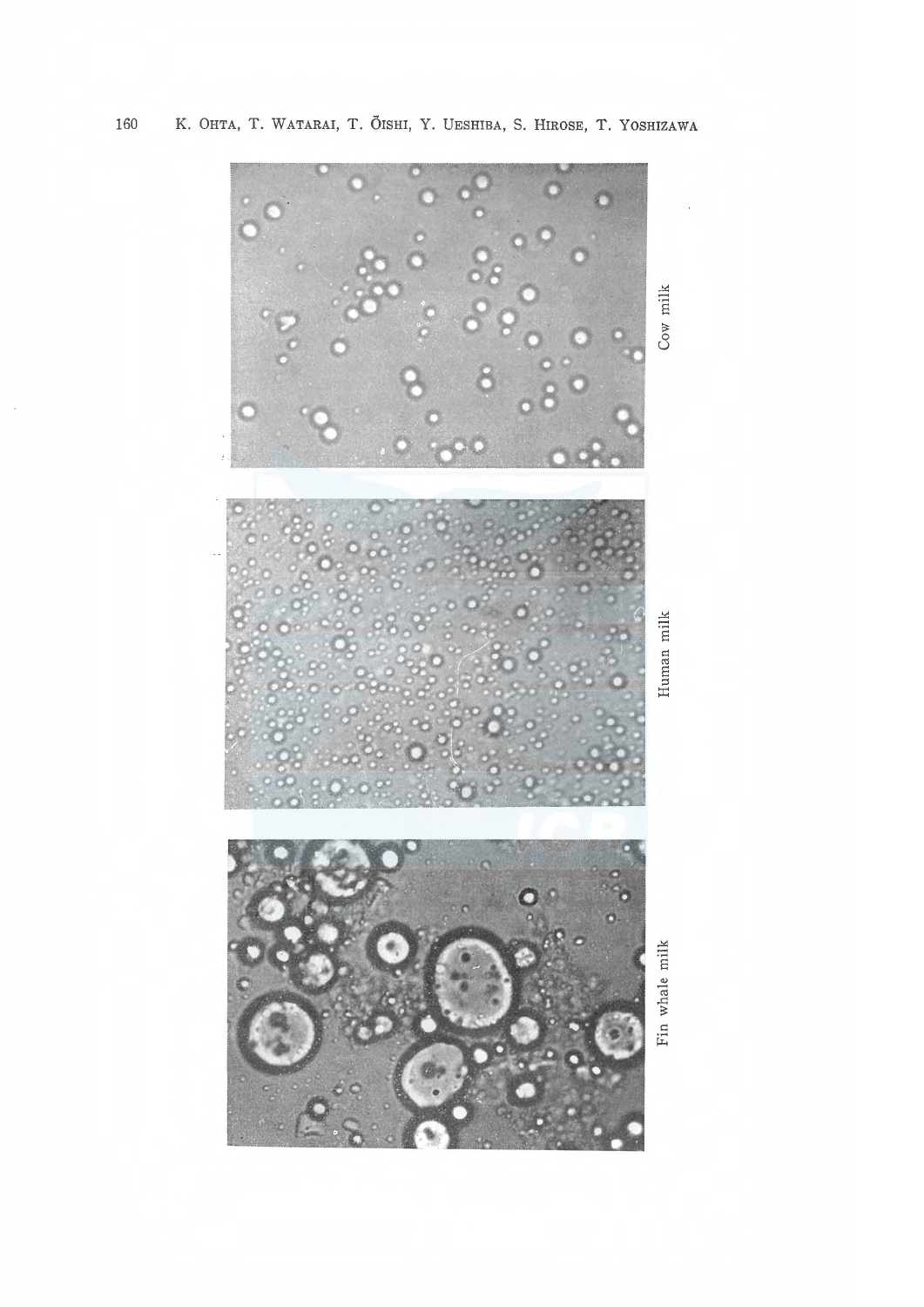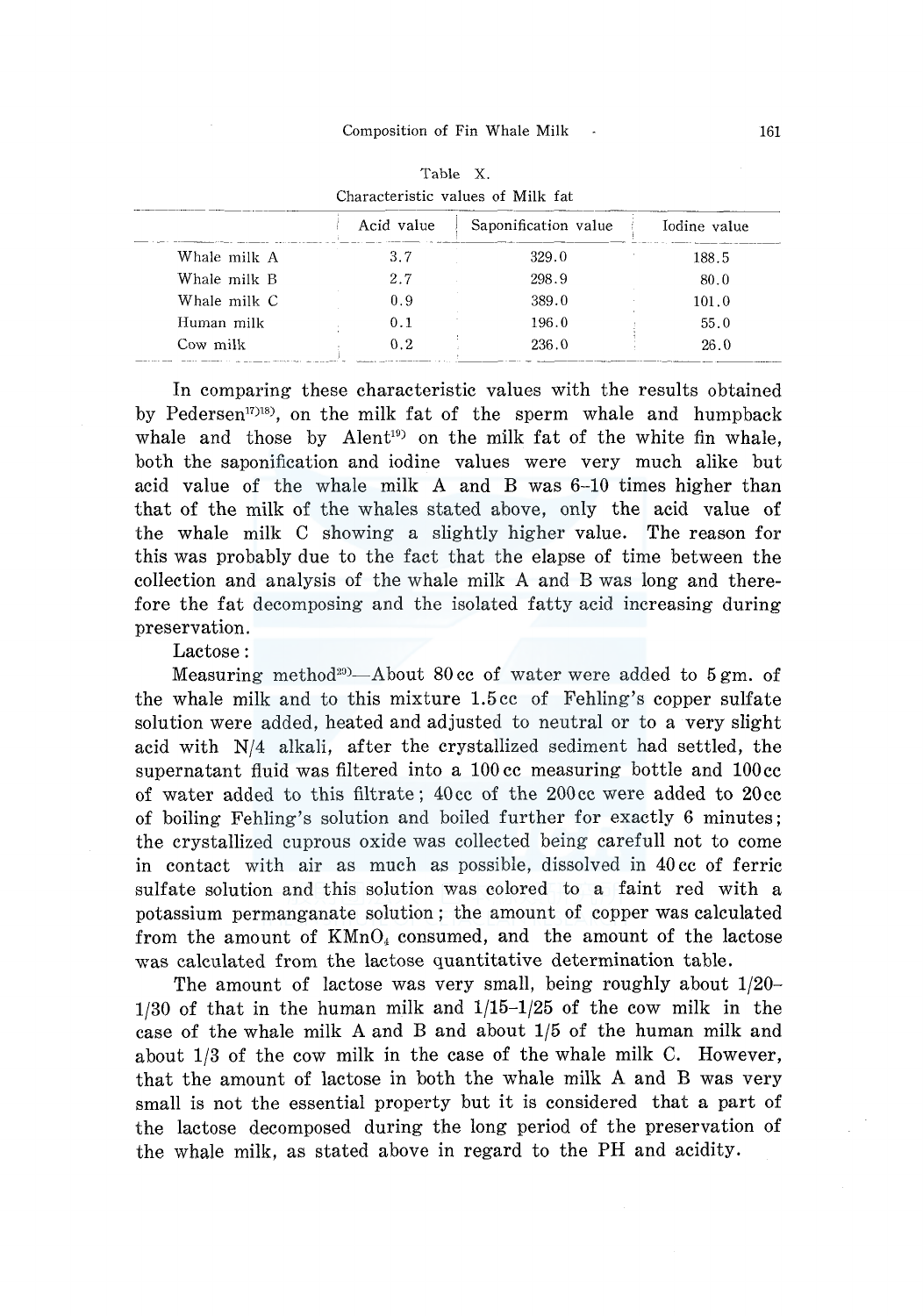| Characteristic values of Milk fat |            |                      |              |  |  |
|-----------------------------------|------------|----------------------|--------------|--|--|
|                                   | Acid value | Saponification value | Iodine value |  |  |
| Whale milk A                      | 3.7        | 329.0                | 188.5        |  |  |
| Whale milk B                      | 2.7        | 298.9                | 80.0         |  |  |
| Whale milk C                      | 0.9        | 389.0                | 101.0        |  |  |
| Human milk                        | 0.1        | 196.0                | 55.0         |  |  |
| Cow milk                          | 0.2        | 236.0                | 26.0         |  |  |

Table X.

In comparing these characteristic values with the results obtained by Pedersen<sup>1718</sup>, on the milk fat of the sperm whale and humpback whale and those by Alent<sup>19</sup> on the milk fat of the white fin whale, both the saponification and iodine values were very much alike but acid value of the whale milk A and B was 6-10 times higher than that of the milk of the whales stated above, only the acid value of the whale milk C showing a slightly higher value. The reason for this was probably due to the fact that the elapse of time between the collection and analysis of the whale milk A and B was long and therefore the fat decomposing and the isolated fatty acid increasing during preservation.

Lactose:

Measuring method<sup>20</sup>—About 80 cc of water were added to 5 gm, of the whale milk and to this mixture 1.5 cc of Fehling's copper sulfate solution were added, heated and adjusted to neutral or to a very slight acid with N/4 alkali, after the crystallized sediment had settled, the supernatant fluid was filtered into a 100 cc measuring bottle and 100 cc of water added to this filtrate; 40cc of the 200cc were added to 20cc of boiling Fehling's solution and boiled further for exactly 6 minutes; the crystallized cuprous oxide was collected being carefull not to come in contact with air as much as possible, dissolved in 40 cc of ferric sulfate solution and this solution was colored to a faint red with a potassium permanganate solution; the amount of copper was calculated from the amount of  $KMnO<sub>4</sub>$  consumed, and the amount of the lactose was calculated from the lactose quantitative determination table.

The amount of lactose was very small, being roughly about 1/20- 1/30 of that in the human milk and 1/15-1/25 of the cow milk in the case of the whale milk A and B and about 1/5 of the human milk and about 1/3 of the cow milk in the case of the whale milk C. However, that the amount of lactose in both the whale milk A and B was very small is not the essential property but it is considered that a part of the lactose decomposed during the long period of the preservation of the whale milk, as stated above in regard to the PH and acidity.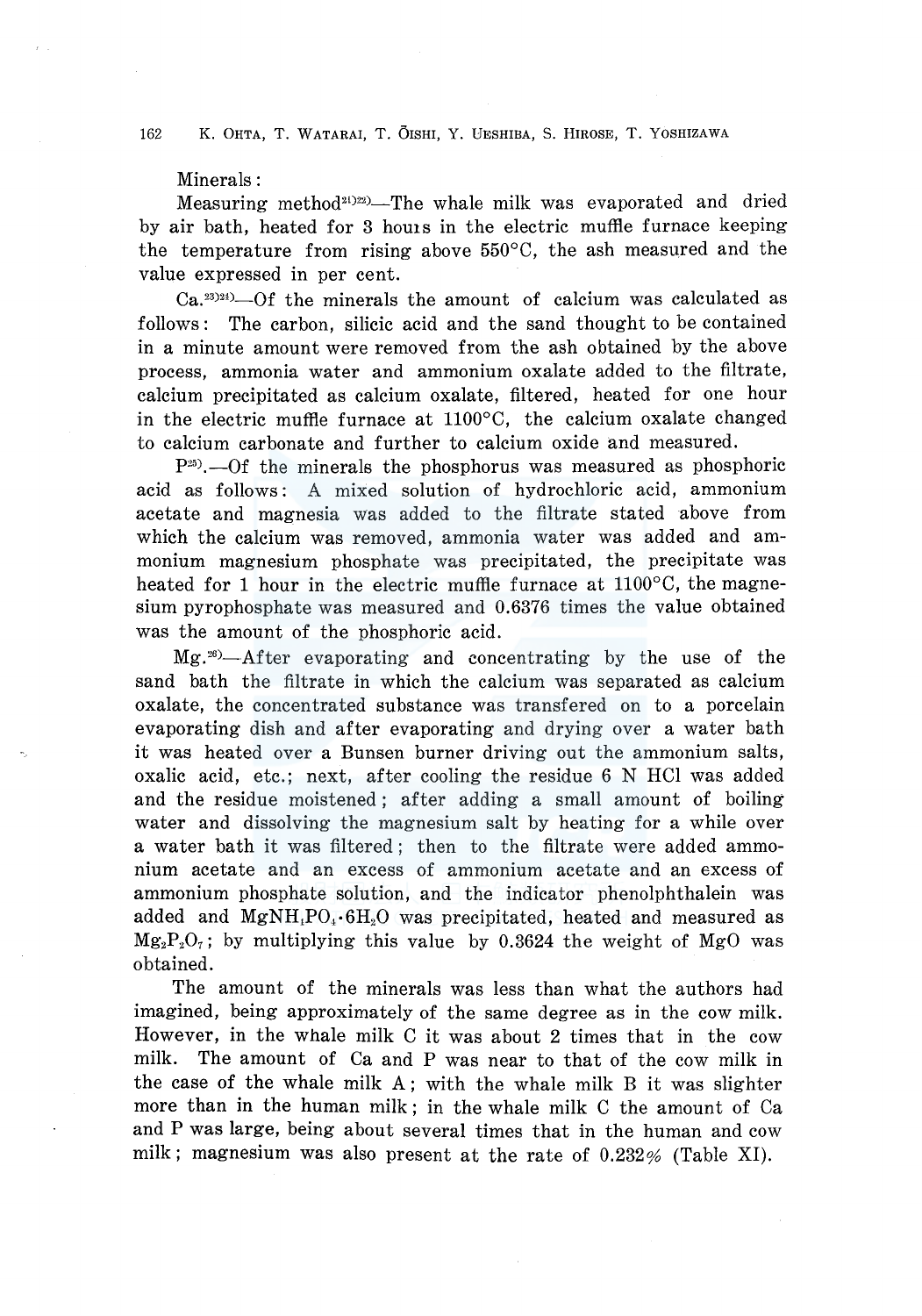### Minerals:

Measuring method<sup>21</sup> $222$ —The whale milk was evaporated and dried by air bath, heated for 3 homs in the electric muffle furnace keeping the temperature from rising above 550°C, the ash measured and the value expressed in per cent.

 $Ca.<sup>23</sup>$ <sup>24)</sup>–Of the minerals the amount of calcium was calculated as follows: The carbon, silicic acid and the sand thought to be contained in a minute amount were removed from the ash obtained by the above process, ammonia water and ammonium oxalate added to the filtrate, calcium precipitated as calcium oxalate, filtered, heated for one hour in the electric muffle furnace at 1100°C, the calcium oxalate changed to calcium carbonate and further to calcium oxide and measured.

 $P^{25}$ . ---Of the minerals the phosphorus was measured as phosphoric acid as follows : A mixed solution of hydrochloric acid, ammonium acetate and magnesia was added to the filtrate stated above from which the calcium was removed, ammonia water was added and ammonium magnesium phosphate was precipitated, the precipitate was heated for 1 hour in the electric muffle furnace at  $1100^{\circ}$ C, the magnesium pyrophosphate was measured and 0.6376 times the value obtained was the amount of the phosphoric acid.

Mg . 26)-After evaporating and concentrating by the use of the sand bath the filtrate in which the calcium was separated as calcium oxalate, the concentrated substance was transfered on to a porcelain evaporating dish and after evaporating and drying over a water bath it was heated over a Bunsen burner driving out the ammonium salts, oxalic acid, etc.; next, after cooling the residue 6 N HCl was added and the residue moistened ; after adding a small amount of boiling water and dissolving the magnesium salt by heating for a while over a water bath it was filtered; then to the filtrate were added ammonium acetate and an excess of ammonium acetate and an excess of ammonium phosphate solution, and the indicator phenolphthalein was added and  $MgNH<sub>1</sub>PO<sub>4</sub>·6H<sub>2</sub>O$  was precipitated, heated and measured as  $Mg_2P_2O_7$ ; by multiplying this value by 0.3624 the weight of MgO was obtained.

The amount of the minerals was less than what the authors had imagined, being approximately of the same degree as in the cow milk. However, in the whale milk C it was about 2 times that in the cow milk. The amount of Ca and P was near to that of the cow milk in the case of the whale milk A; with the whale milk B it was slighter more than in the human milk; in the whale milk C the amount of Ca and P was large, being about several times that in the human and cow milk; magnesium was also present at the rate of 0.232% (Table XI).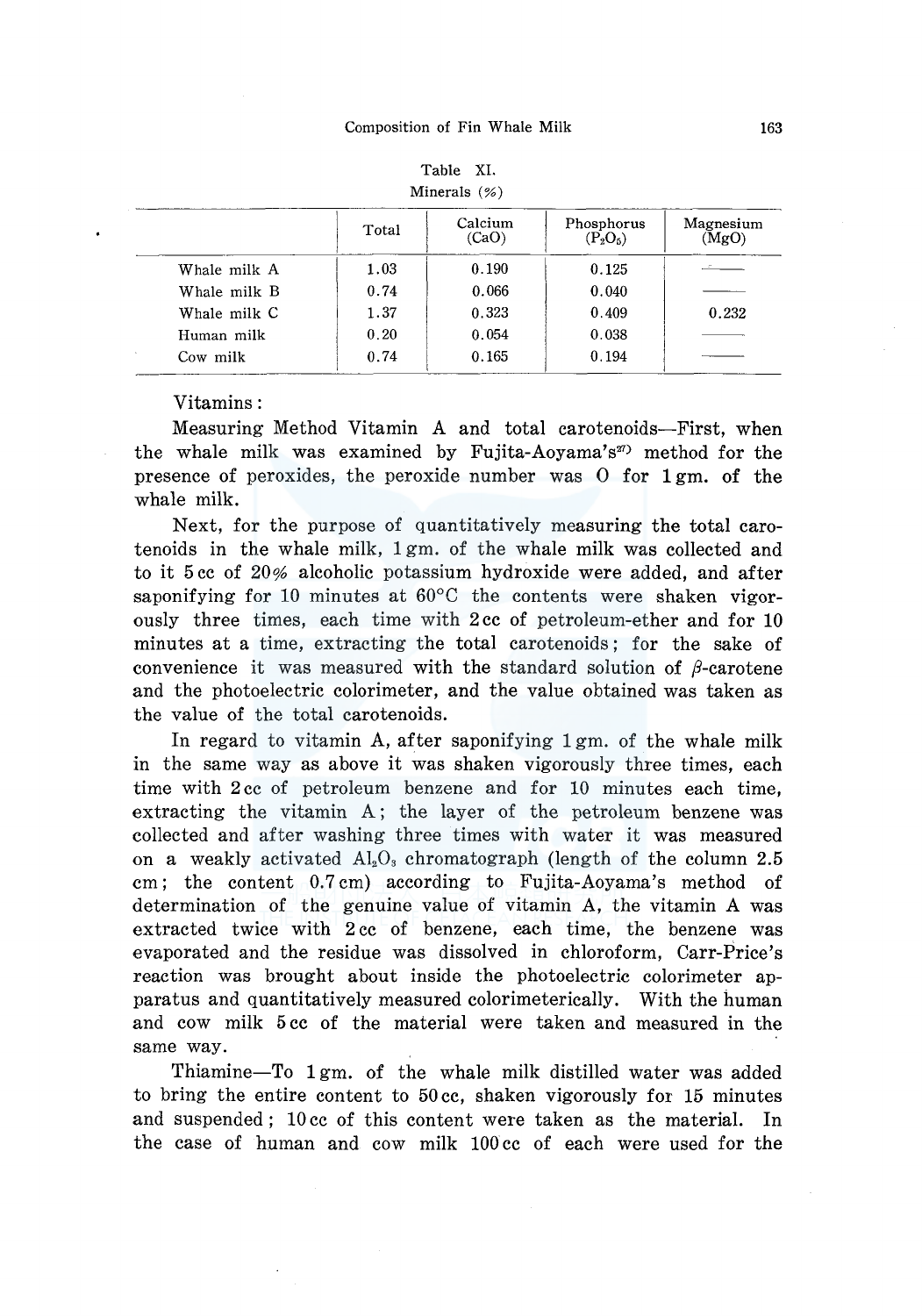|              | Total | Calcium<br>(CaO) | Phosphorus<br>$(P_2O_5)$ | Magnesium<br>(MgO) |  |  |  |
|--------------|-------|------------------|--------------------------|--------------------|--|--|--|
| Whale milk A | 1.03  | 0.190            | 0.125                    |                    |  |  |  |
| Whale milk B | 0.74  | 0.066            | 0.040                    |                    |  |  |  |
| Whale milk C | 1.37  | 0.323            | 0.409                    | 0.232              |  |  |  |
| Human milk   | 0.20  | 0.054            | 0.038                    |                    |  |  |  |
| Cow milk     | 0.74  | 0.165            | 0.194                    |                    |  |  |  |

| Table        | XI. |  |
|--------------|-----|--|
| Minerals (%) |     |  |

### Vitamins:

Measuring Method Vitamin A and total carotenoids-First, when the whale milk was examined by Fujita-Aoyama's<sup>27)</sup> method for the presence of peroxides, the peroxide number was 0 for 1 gm. of the whale milk.

Next, for the purpose of quantitatively measuring the total carotenoids in the whale milk, 1 gm. of the whale milk was collected and to it 5 cc of 20% alcoholic potassium hydroxide were added, and after saponifying for 10 minutes at 60°C the contents were shaken vigorously three times, each time with 2 cc of petroleum-ether and for 10 minutes at a time, extracting the total carotenoids; for the sake of convenience it was measured with the standard solution of  $\beta$ -carotene and the photoelectric colorimeter, and the value obtained was taken as the value of the total carotenoids.

In regard to vitamin A, after saponifying 1 gm. of the whale milk in the same way as above it was shaken vigorously three times, each time with 2 cc of petroleum benzene and for 10 minutes each time, extracting the vitamin A; the layer of the petroleum benzene was collected and after washing three times with water it was measured on a weakly activated  $Al_2O_3$  chromatograph (length of the column 2.5 cm; the content 0.7 cm) according to Fujita-Aoyama's method of determination of the genuine value of vitamin A, the vitamin A was extracted twice with 2 cc of benzene, each time, the benzene was evaporated and the residue was dissolved in chloroform, Carr-Price's reaction was brought about inside the photoelectric colorimeter apparatus and quantitatively measured colorimeterically. With the human and cow milk 5 cc of the material were taken and measured in the same way.

Thiamine-To 1gm. of the whale milk distilled water was added to bring the entire content to 50 cc, shaken vigorously for 15 minutes and suspended; 10 cc of this content were taken as the material. In the case of human and cow milk 100 cc of each were used for the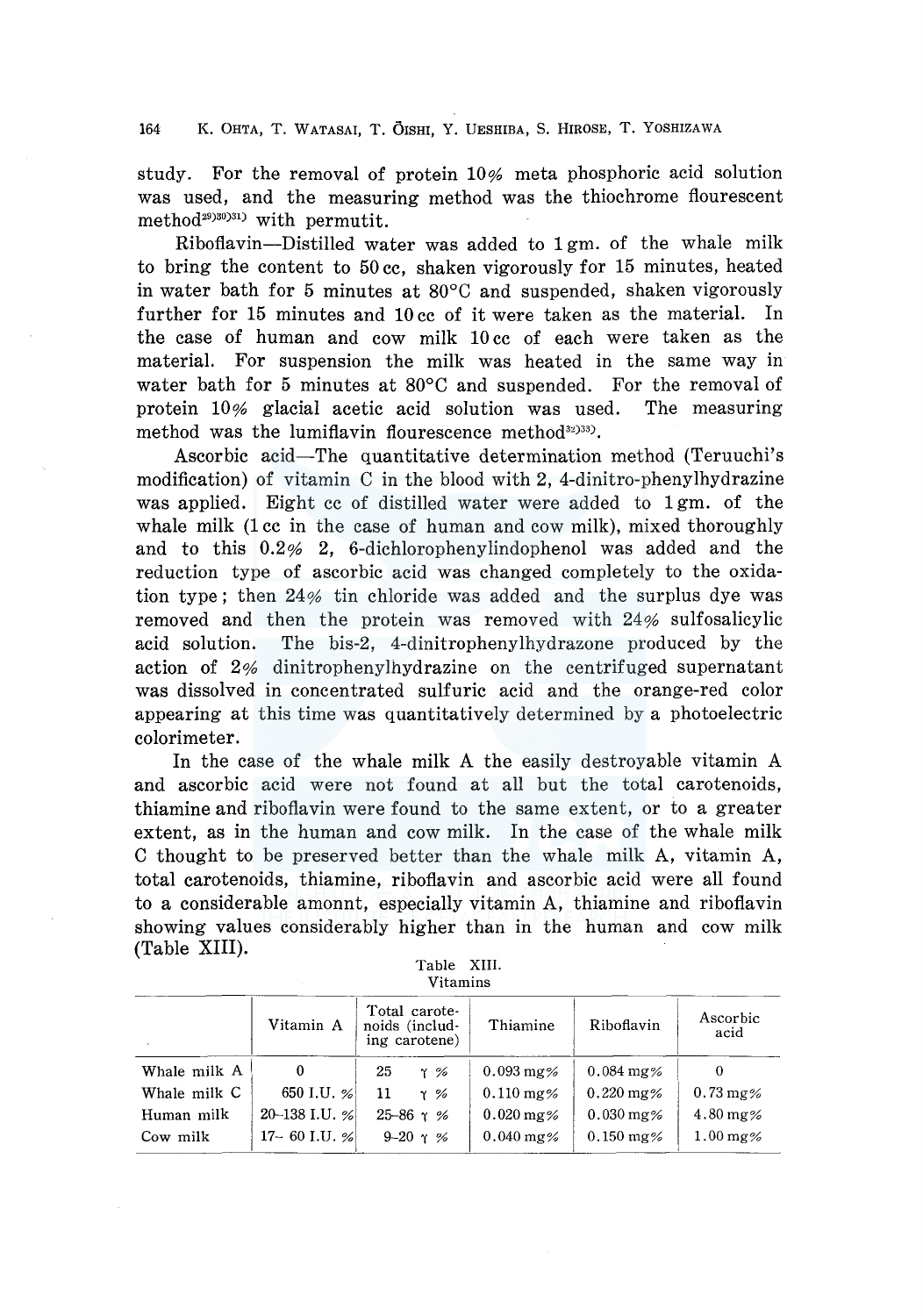study. For the removal of protein 10% meta phosphoric acid solution was used, and the measuring method was the thiochrome flourescent method<sup>29)30)31</sup> with permutit.

Riboflavin-Distilled water was added to 1 gm. of the whale milk to bring the content to 50 cc, shaken vigorously for 15 minutes, heated in water bath for 5 minutes at 80°C and suspended, shaken vigorously further for 15 minutes and 10 cc of it were taken as the material. In the case of human and cow milk 10 cc of each were taken as the material. For suspension the milk was heated in the same way in water bath for 5 minutes at 80°C and suspended. For the removal of protein 10% glacial acetic acid solution was used. The measuring method was the lumiflavin flourescence method<sup>32)33</sup>).

Ascorbic acid-The quantitative determination method (Teruuchi's modification) of vitamin C in the blood with 2, 4-dinitro-phenylhydrazine was applied. Eight cc of distilled water were added to 1 gm. of the whale milk (1 cc in the case of human and cow milk), mixed thoroughly and to this 0.2% 2, 6-dichlorophenylindophenol was added and the reduction type of ascorbic acid was changed completely to the oxidation type; then 24% tin chloride was added and the surplus dye was removed and then the protein was removed with 24% sulfosalicylic acid solution. The bis-2, 4-dinitrophenylhydrazone produced by the action of 2% dinitrophenylhydrazine on the centrifuged supernatant was dissolved in concentrated sulfuric acid and the orange-red color appearing at this time was quantitatively determined by a photoelectric colorimeter.

In the case of the whale milk A the easily destroyable vitamin A and ascorbic acid were not found at all but the total carotenoids, thiamine and riboflavin were found to the same extent, or to a greater extent, as in the human and cow milk. In the case of the whale milk C thought to be preserved better than the whale milk A, vitamin A, total carotenoids, thiamine, riboflavin and ascorbic acid were all found to a considerable amonnt, especially vitamin A, thiamine and riboflavin showing values considerably higher than in the human and cow milk (Table XIII).

| Table    | XIII. |  |  |  |  |
|----------|-------|--|--|--|--|
| Vitamins |       |  |  |  |  |

|              | Vitamin A        | Total carote-<br>noids (includ-<br>ing carotene) | Thiamine                | Riboflavin              | Ascorbic<br>acid       |
|--------------|------------------|--------------------------------------------------|-------------------------|-------------------------|------------------------|
| Whale milk A | $\bf{0}$         | 25<br>$\gamma$ %                                 | $0.093 \,\mathrm{mg\%}$ | $0.084 \,\mathrm{mg\%}$ | 0                      |
| Whale milk C | 650 I.U. $%$     | 11<br>$\gamma$ %                                 | $0.110 \,\mathrm{mg\%}$ | $0.220 \,\mathrm{mg\%}$ | $0.73 \,\mathrm{mg\%}$ |
| Human milk   | 20-138 I.U. %    | $25 - 86$ $\gamma$ %                             | $0.020 \,\mathrm{mg\%}$ | $0.030 \,\mathrm{mg\%}$ | $4.80 \,\mathrm{mg}$ % |
| Cow milk     | $17 - 60$ I.U. % | 9-20 $\gamma$ %                                  | $0.040$ mg%             | $0.150 \text{ mg\%}$    | $1.00$ mg%             |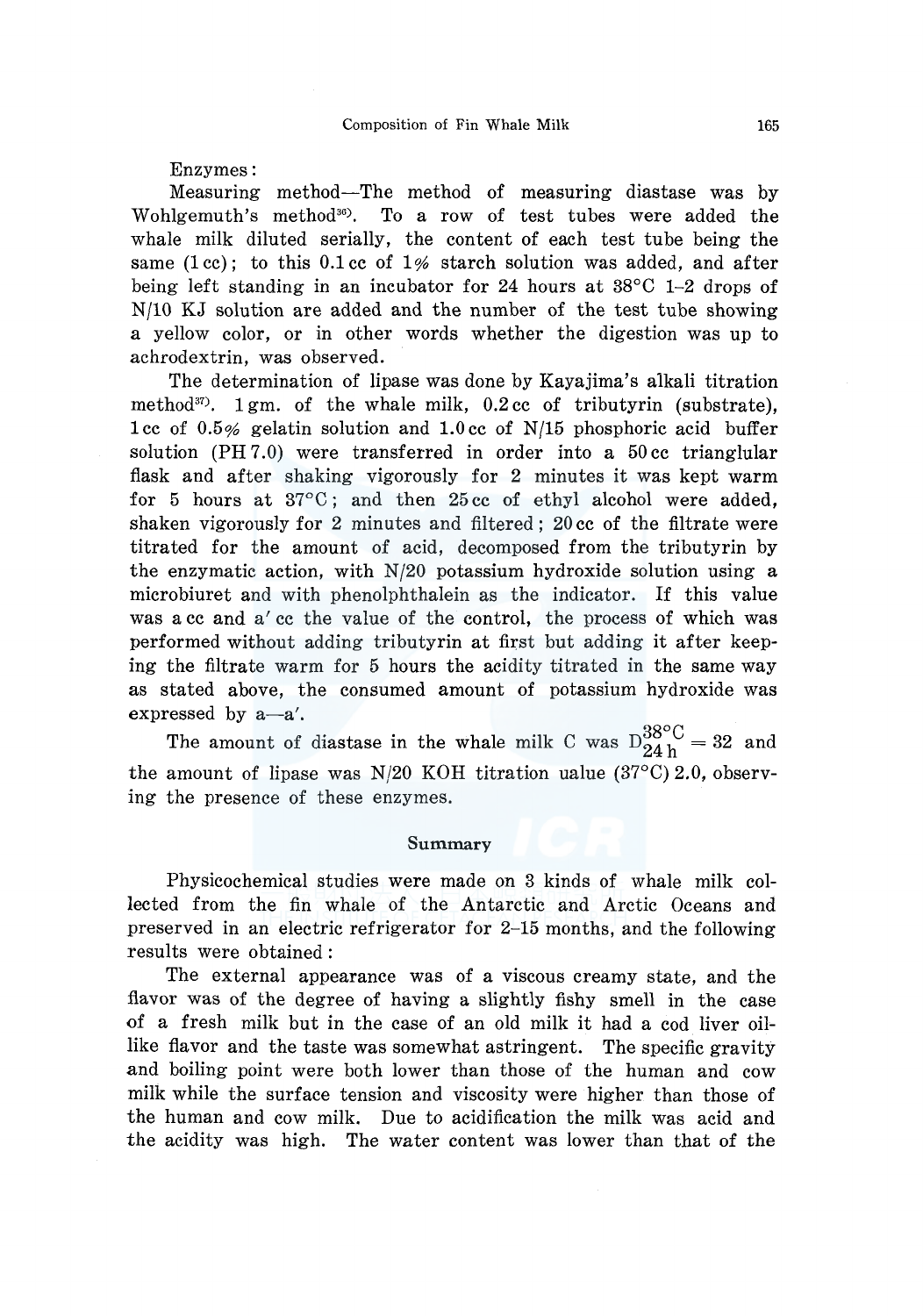Enzymes:

Measuring method-The method of measuring diastase was by Wohlgemuth's method $30$ . To a row of test tubes were added the whale milk diluted serially, the content of each test tube being the same (1cc); to this 0.1 cc of 1% starch solution was added, and after being left standing in an incubator for 24 hours at  $38^{\circ}$ C 1–2 drops of N/10 KJ solution are added and the number of the test tube showing a yellow color, or in other words whether the digestion was up to achrodextrin, was observed.

The determination of lipase was done by Kayajima's alkali titration method $37$ . 1 gm. of the whale milk, 0.2 cc of tributyrin (substrate), 1 cc of 0.5% gelatin solution and 1.0 cc of N/15 phosphoric acid buffer solution  $(PH 7.0)$  were transferred in order into a 50 cc trianglular flask and after shaking vigorously for 2 minutes it was kept warm for 5 hours at 37°C ; and then 25 cc of ethyl alcohol were added, shaken vigorously for 2 minutes and filtered; 20 cc of the filtrate were titrated for the amount of acid, decomposed from the tributyrin by the enzymatic action, with N/20 potassium hydroxide solution using a microbiuret and with phenolphthalein as the indicator. If this value was a cc and a' cc the value of the control, the process of which was performed without adding tributyrin at first but adding it after keeping the filtrate warm for 5 hours the acidity titrated in the same way as stated above, the consumed amount of potassium hydroxide was

expressed by a-a'.<br>The amount of diastase in the whale milk C was  $D_{24h}^{38\degree C} = 32$  and the amount of lipase was N/20 KOH titration ualue  $(37^{\circ}C)$  2.0, observing the presence of these enzymes.

#### **Summary**

Physicochemical studies were made on 3 kinds of whale milk collected from the fin whale of the Antarctic and Arctic Oceans and preserved in an electric refrigerator for 2-15 months, and the following results were obtained:

The external appearance was of a viscous creamy state, and the flavor was of the degree of having a slightly fishy smell in the case of a fresh milk but in the case of an old milk it had a cod liver oillike flavor and the taste was somewhat astringent. The specific gravity and boiling point were both lower than those of the human and cow milk while the surface tension and viscosity were higher than those of the human and cow milk. Due to acidification the milk was acid and the acidity was high. The water content was lower than that of the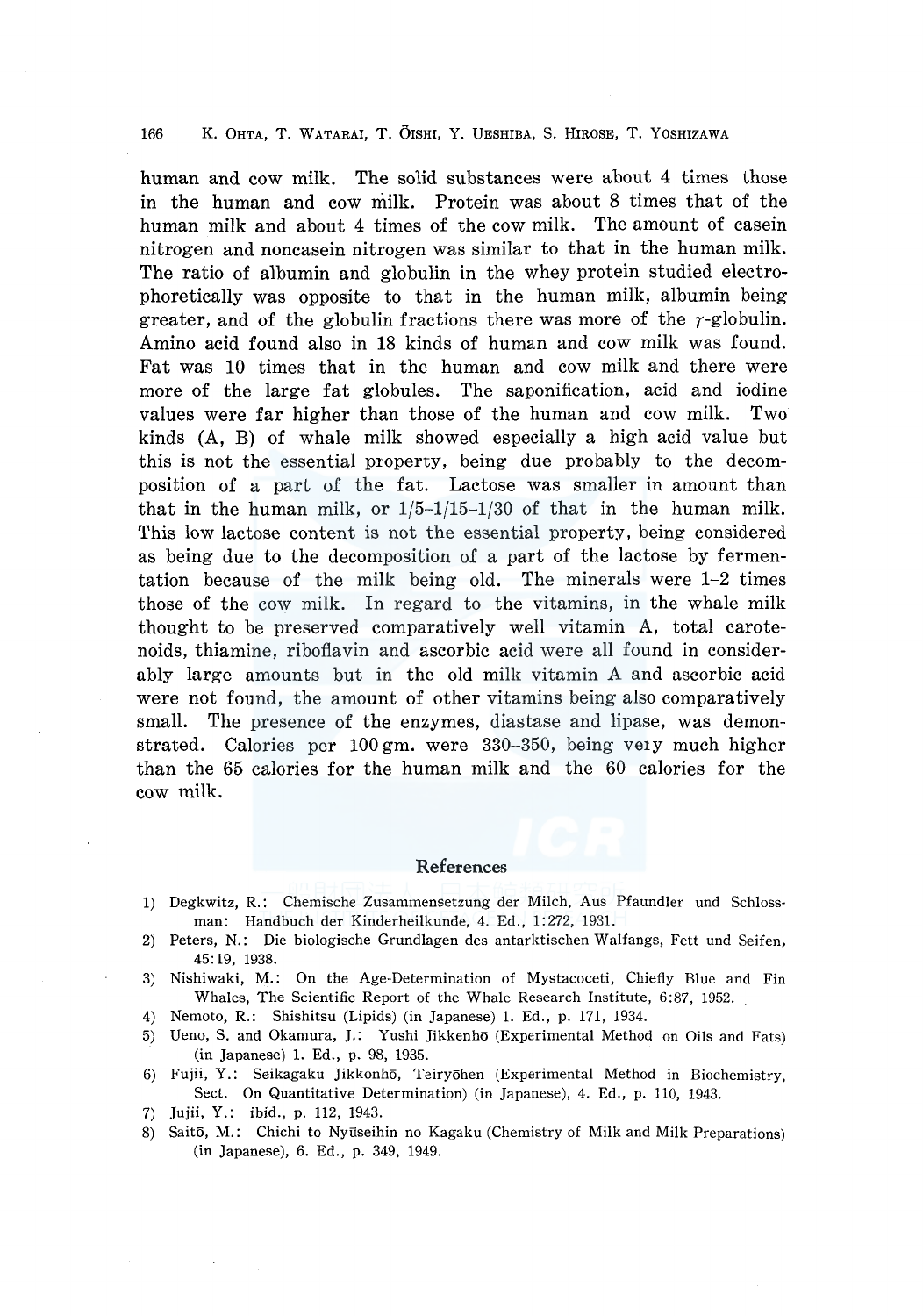human and cow milk. The solid substances were about 4 times those in the human and COW milk. Protein was about 8 times that of the human milk and about 4 times of the cow milk. The amount of casein nitrogen and noncasein nitrogen was similar to that in the human milk. The ratio of albumin and globulin in the whey protein studied electrophoretically was opposite to that in the human milk, albumin being greater, and of the globulin fractions there was more of the  $\gamma$ -globulin. Amino acid found also in 18 kinds of human and cow milk was found. Fat was 10 times that in the human and cow milk and there were more of the large fat globules. The saponification, acid and iodine values were far higher than those of the human and cow milk. Two kinds (A, B) of whale milk showed especially a high acid value but this is not the essential property, being due probably to the decomposition of a part of the fat. Lactose was smaller in amount than that in the human milk, or 1/5-1/15-1/30 of that in the human milk. This low lactose content is not the essential property, being considered as being due to the decomposition of a part of the lactose by fermentation because of the milk being old. The minerals were 1-2 times those of the cow milk. In regard to the vitamins, in the whale milk thought to be preserved comparatively well vitamin A, total carotenoids, thiamine, riboflavin and ascorbic acid were all found in considerably large amounts but in the old milk vitamin A and ascorbic acid were not found, the amount of other vitamins being also comparatively small. The presence of the enzymes, diastase and lipase, was demonstrated. Calories per 100 gm. were 330-350, being ve1y much higher than the 65 calories for the human milk and the 60 calories for the cow milk.

### References

- 1) Degkwitz, R.: Chemische Zusammensetzung der Milch, Aus Pfaundler und Schlossman: Handbuch der Kinderheilkunde, 4. Ed., 1:272, 1931.
- 2) Peters, N.: Die biologische Grundlagen des antarktischen Walfangs, Fett und Seifen, 45: 19, 1938.
- 3) Nishiwaki, M.: On the Age-Determination of Mystacoceti, Chiefly Blue and Fin Whales, The Scientific Report of the Whale Research Institute, 6:87, 1952.
- 4) Nemoto, R.: Shishitsu (Lipids) (in Japanese) 1. Ed., p. 171, 1934.
- 5) Ueno, S. and Okamura, J.: Yushi Jikkenho (Experimental Method on Oils and Fats) (in Japanese) 1. Ed., p. 98, 1935.
- 6) Fujii, Y.: Seikagaku Jikkonho, Teiryohen (Experimental Method in Biochemistry, Sect. On Quantitative Determination) (in Japanese), 4. Ed., p. 110, 1943.
- 7) Jujii, Y.: ibid., p. 112, 1943.
- 8) Saitō, M.: Chichi to Nyūseihin no Kagaku (Chemistry of Milk and Milk Preparations) (in Japanese), 6. Ed., p. 349, 1949.